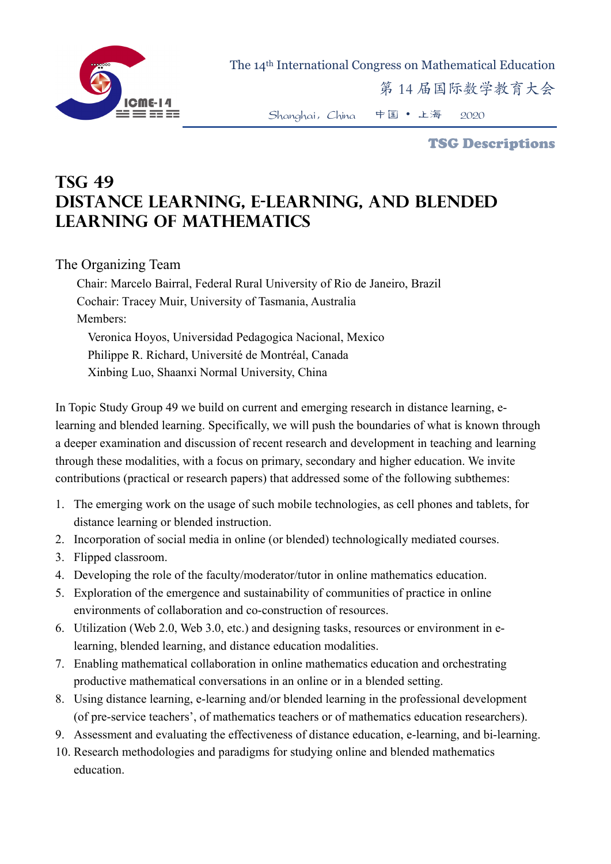

The 14th International Congress on Mathematical Education

第 14 届国际数学教育大会

Shanghai,China 中国 • 上海 2020

TSG Descriptions

## **TSG 49 Distance Learning, E-Learning, and Blended Learning of Mathematics**

The Organizing Team

Chair: Marcelo Bairral, Federal Rural University of Rio de Janeiro, Brazil Cochair: Tracey Muir, University of Tasmania, Australia Members: Veronica Hoyos, Universidad Pedagogica Nacional, Mexico Philippe R. Richard, Université de Montréal, Canada Xinbing Luo, Shaanxi Normal University, China

In Topic Study Group 49 we build on current and emerging research in distance learning, elearning and blended learning. Specifically, we will push the boundaries of what is known through a deeper examination and discussion of recent research and development in teaching and learning through these modalities, with a focus on primary, secondary and higher education. We invite contributions (practical or research papers) that addressed some of the following subthemes:

- 1. The emerging work on the usage of such mobile technologies, as cell phones and tablets, for distance learning or blended instruction.
- 2. Incorporation of social media in online (or blended) technologically mediated courses.
- 3. Flipped classroom.
- 4. Developing the role of the faculty/moderator/tutor in online mathematics education.
- 5. Exploration of the emergence and sustainability of communities of practice in online environments of collaboration and co-construction of resources.
- 6. Utilization (Web 2.0, Web 3.0, etc.) and designing tasks, resources or environment in elearning, blended learning, and distance education modalities.
- 7. Enabling mathematical collaboration in online mathematics education and orchestrating productive mathematical conversations in an online or in a blended setting.
- 8. Using distance learning, e-learning and/or blended learning in the professional development (of pre-service teachers', of mathematics teachers or of mathematics education researchers).
- 9. Assessment and evaluating the effectiveness of distance education, e-learning, and bi-learning.
- 10. Research methodologies and paradigms for studying online and blended mathematics education.